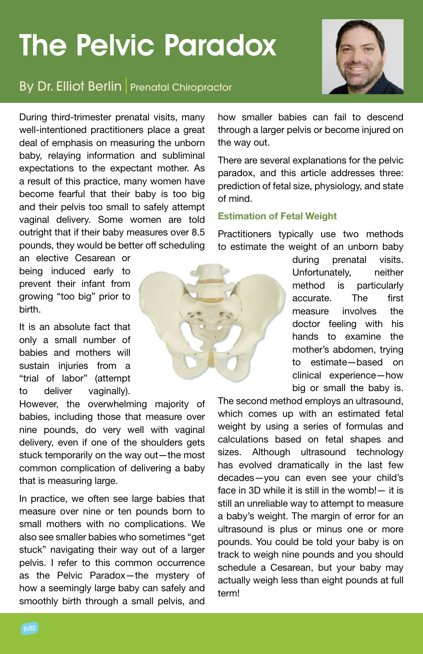# The Pelvic Paradox



## **By Dr. Elliot Berlin** Prenatal Chiropractor

During third-trimester prenatal visits, many well-intentioned practitioners place a great deal of emphasis on measuring the unborn baby, relaying information and subliminal expectations to the expectant mother. As a result of this practice, many women have become fearful that their baby is too big and their pelvis too small to safely attempt vaginal delivery. Some women are told outright that if their baby measures over 8.5 pounds, they would be better off scheduling

an elective Cesarean or being induced early to prevent their infant from growing "too big" prior to birth.

It is an absolute fact that only a small number of babies and mothers will sustain injuries from a "trial of labor" (attempt to deliver vaginally).

However, the overwhelming majority of babies, including those that measure over nine pounds, do very well with vaginal delivery, even if one of the shoulders gets stuck temporarily on the way out—the most common complication of delivering a baby that is measuring large.

In practice, we often see large babies that measure over nine or ten pounds born to small mothers with no complications. We also see smaller babies who sometimes "get stuck" navigating their way out of a larger pelvis. I refer to this common occurrence as the Pelvic Paradox—the mystery of how a seemingly large baby can safely and smoothly birth through a small pelvis, and

how smaller babies can fail to descend through a larger pelvis or become injured on the way out.

There are several explanations for the pelvic paradox, and this article addresses three: prediction of fetal size, physiology, and state of mind.

#### Estimation of Fetal Weight

Practitioners typically use two methods to estimate the weight of an unborn baby

> during prenatal visits. Unfortunately. neither method is particularly accurate The first measure involves the doctor feeling with his hands to examine the mother's abdomen, trying to estimate—based on clinical experience—how big or small the baby is.

The second method employs an ultrasound, which comes up with an estimated fetal weight by using a series of formulas and calculations based on fetal shapes and sizes. Although ultrasound technology has evolved dramatically in the last few decades—you can even see your child's face in 3D while it is still in the womb!— it is still an unreliable way to attempt to measure a baby's weight. The margin of error for an ultrasound is plus or minus one or more pounds. You could be told your baby is on track to weigh nine pounds and you should schedule a Cesarean, but your baby may actually weigh less than eight pounds at full term!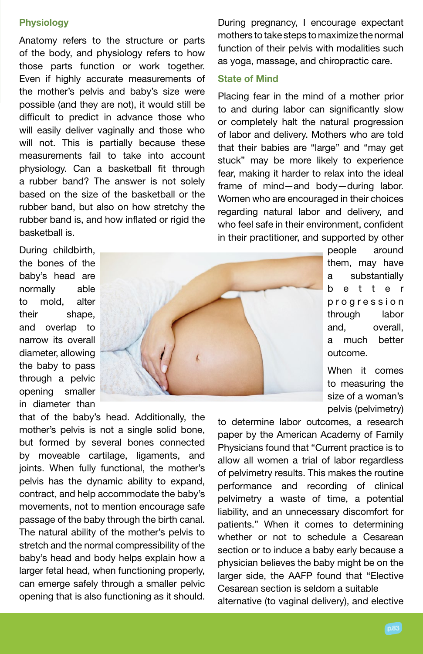### **Physiology**

Anatomy refers to the structure or parts of the body, and physiology refers to how those parts function or work together. Even if highly accurate measurements of the mother's pelvis and baby's size were possible (and they are not), it would still be difficult to predict in advance those who will easily deliver vaginally and those who will not. This is partially because these measurements fail to take into account physiology. Can a basketball fit through a rubber band? The answer is not solely based on the size of the basketball or the rubber band, but also on how stretchy the rubber band is, and how inflated or rigid the basketball is.

During pregnancy, I encourage expectant mothers to take steps to maximize the normal function of their pelvis with modalities such as yoga, massage, and chiropractic care.

#### State of Mind

Placing fear in the mind of a mother prior to and during labor can significantly slow or completely halt the natural progression of labor and delivery. Mothers who are told that their babies are "large" and "may get stuck" may be more likely to experience fear, making it harder to relax into the ideal frame of mind—and body—during labor. Women who are encouraged in their choices regarding natural labor and delivery, and who feel safe in their environment, confident in their practitioner, and supported by other

During childbirth, the bones of the baby's head are normally able to mold, alter their shape, and overlap to narrow its overall diameter, allowing the baby to pass through a pelvic opening smaller in diameter than



people around them, may have a substantially b e t t e r p r o g r e s s i o n through labor and, overall, a much better outcome.

When it comes to measuring the size of a woman's pelvis (pelvimetry)

that of the baby's head. Additionally, the mother's pelvis is not a single solid bone, but formed by several bones connected by moveable cartilage, ligaments, and joints. When fully functional, the mother's pelvis has the dynamic ability to expand, contract, and help accommodate the baby's movements, not to mention encourage safe passage of the baby through the birth canal. The natural ability of the mother's pelvis to stretch and the normal compressibility of the baby's head and body helps explain how a larger fetal head, when functioning properly, can emerge safely through a smaller pelvic opening that is also functioning as it should.

to determine labor outcomes, a research paper by the American Academy of Family Physicians found that "Current practice is to allow all women a trial of labor regardless of pelvimetry results. This makes the routine performance and recording of clinical pelvimetry a waste of time, a potential liability, and an unnecessary discomfort for patients." When it comes to determining whether or not to schedule a Cesarean section or to induce a baby early because a physician believes the baby might be on the larger side, the AAFP found that "Elective Cesarean section is seldom a suitable alternative (to vaginal delivery), and elective